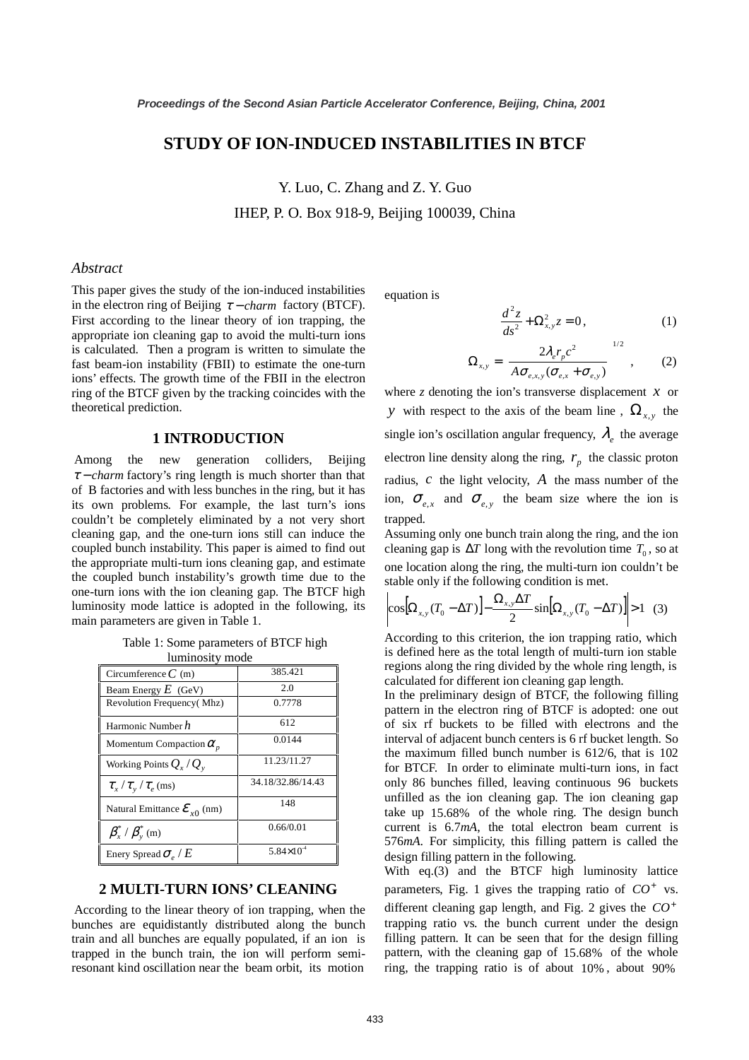# **STUDY OF ION-INDUCED INSTABILITIES IN BTCF**

Y. Luo, C. Zhang and Z. Y. Guo IHEP, P. O. Box 918-9, Beijing 100039, China

#### *Abstract*

This paper gives the study of the ion-induced instabilities in the electron ring of Beijing  $\tau$  – *charm* factory (BTCF). First according to the linear theory of ion trapping, the appropriate ion cleaning gap to avoid the multi-turn ions is calculated. Then a program is written to simulate the fast beam-ion instability (FBII) to estimate the one-turn ions' effects. The growth time of the FBII in the electron ring of the BTCF given by the tracking coincides with the theoretical prediction.

#### **1 INTRODUCTION**

 Among the new generation colliders, Beijing <sup>τ</sup> − *charm* factory's ring length is much shorter than that of B factories and with less bunches in the ring, but it has its own problems. For example, the last turn's ions couldn't be completely eliminated by a not very short cleaning gap, and the one-turn ions still can induce the coupled bunch instability. This paper is aimed to find out the appropriate multi-turn ions cleaning gap, and estimate the coupled bunch instability's growth time due to the one-turn ions with the ion cleaning gap. The BTCF high luminosity mode lattice is adopted in the following, its main parameters are given in Table 1.

Table 1: Some parameters of BTCF high luminosity mode

| rummosity mode                                |                     |
|-----------------------------------------------|---------------------|
| Circumference $C$ (m)                         | 385.421             |
| Beam Energy $E$ (GeV)                         | 2.0                 |
| Revolution Frequency(Mhz)                     | 0.7778              |
| Harmonic Number h                             | 612                 |
| Momentum Compaction $\alpha_n$                | 0.0144              |
| Working Points $Q_{x}/Q_{y}$                  | 11.23/11.27         |
| $\tau_{\rm x}/\tau_{\rm v}/\tau_{\rm e}$ (ms) | 34.18/32.86/14.43   |
| Natural Emittance $\mathcal{E}_{x0}$ (nm)     | 148                 |
| $\beta_x^*$ / $\beta_y^*$ (m)                 | 0.66/0.01           |
| Enery Spread $\sigma_{\rho}$ / $E$            | $5.84\times10^{-4}$ |

## **2 MULTI-TURN IONS' CLEANING**

 According to the linear theory of ion trapping, when the bunches are equidistantly distributed along the bunch train and all bunches are equally populated, if an ion is trapped in the bunch train, the ion will perform semiresonant kind oscillation near the beam orbit, its motion

equation is

$$
\frac{d^2z}{ds^2} + \Omega_{x,y}^2 z = 0, \qquad (1)
$$

$$
\Omega_{x,y} = \left[ \frac{2\lambda_e r_p c^2}{A \sigma_{e,x,y} (\sigma_{e,x} + \sigma_{e,y})} \right]^{1/2}, \quad (2)
$$

where *z* denoting the ion's transverse displacement  $x$  or *y* with respect to the axis of the beam line,  $\Omega_{x,y}$  the single ion's oscillation angular frequency,  $\lambda_e$  the average electron line density along the ring,  $r_n$  the classic proton radius, *c* the light velocity, *A* the mass number of the ion,  $\sigma_{e,x}$  and  $\sigma_{e,y}$  the beam size where the ion is trapped.

Assuming only one bunch train along the ring, and the ion cleaning gap is  $\Delta T$  long with the revolution time  $T_0$ , so at one location along the ring, the multi-turn ion couldn't be stable only if the following condition is met.

$$
\left|\cos[\Omega_{x,y}(T_0 - \Delta T)] - \frac{\Omega_{x,y}\Delta T}{2}\sin[\Omega_{x,y}(T_0 - \Delta T)]\right| > 1
$$
 (3)

According to this criterion, the ion trapping ratio, which is defined here as the total length of multi-turn ion stable regions along the ring divided by the whole ring length, is calculated for different ion cleaning gap length.

In the preliminary design of BTCF, the following filling pattern in the electron ring of BTCF is adopted: one out of six rf buckets to be filled with electrons and the interval of adjacent bunch centers is 6 rf bucket length. So the maximum filled bunch number is 612/6, that is 102 for BTCF. In order to eliminate multi-turn ions, in fact only 86 bunches filled, leaving continuous 96 buckets unfilled as the ion cleaning gap. The ion cleaning gap take up 15.68% of the whole ring. The design bunch current is 6.7*mA*, the total electron beam current is 576*mA*. For simplicity, this filling pattern is called the design filling pattern in the following.

With eq.(3) and the BTCF high luminosity lattice parameters, Fig. 1 gives the trapping ratio of  $CO<sup>+</sup>$  vs. different cleaning gap length, and Fig. 2 gives the  $CO<sup>+</sup>$ trapping ratio vs. the bunch current under the design filling pattern. It can be seen that for the design filling pattern, with the cleaning gap of 15.68% of the whole ring, the trapping ratio is of about 10% , about 90%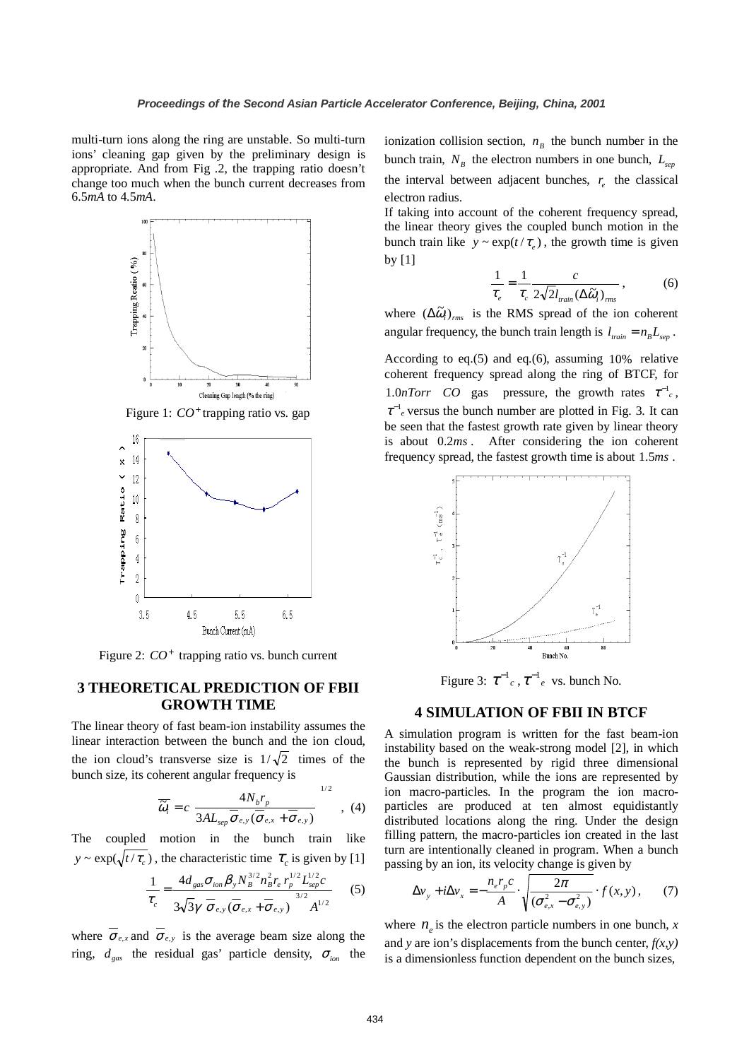multi-turn ions along the ring are unstable. So multi-turn ions' cleaning gap given by the preliminary design is appropriate. And from Fig .2, the trapping ratio doesn't change too much when the bunch current decreases from 6.5*mA* to 4.5*mA*.



Figure 1:  $CO<sup>+</sup>$  trapping ratio vs. gap



Figure 2:  $CO<sup>+</sup>$  trapping ratio vs. bunch current

## **3 THEORETICAL PREDICTION OF FBII GROWTH TIME**

The linear theory of fast beam-ion instability assumes the linear interaction between the bunch and the ion cloud, the ion cloud's transverse size is  $1/\sqrt{2}$  times of the bunch size, its coherent angular frequency is

$$
\overline{\widetilde{\omega}_i} = c \left[ \frac{4N_b r_p}{3AL_{sep} \overline{\sigma}_{e,y} (\overline{\sigma}_{e,x} + \overline{\sigma}_{e,y})} \right]^{1/2} , (4)
$$

The coupled motion in the bunch train like  $y \sim \exp(\sqrt{t/\tau_c})$ , the characteristic time  $\tau_c$  is given by [1]

$$
\frac{1}{\tau_c} = \frac{4d_{gas}\sigma_{ion}\beta_y N_B^{3/2} n_B^2 r_e r_p^{1/2} L_{sep}^{1/2} c}{3\sqrt{3}\gamma \left[\overline{\sigma}_{e,y}(\overline{\sigma}_{e,x} + \overline{\sigma}_{e,y})\right]^{3/2} A^{1/2}}
$$
(5)

where  $\overline{\sigma}_{e,x}$  and  $\overline{\sigma}_{e,y}$  is the average beam size along the ring,  $d_{gas}$  the residual gas' particle density,  $\sigma_{ion}$  the ionization collision section,  $n<sub>B</sub>$  the bunch number in the bunch train,  $N_B$  the electron numbers in one bunch,  $L_{sep}$ the interval between adjacent bunches,  $r<sub>e</sub>$  the classical electron radius.

If taking into account of the coherent frequency spread, the linear theory gives the coupled bunch motion in the bunch train like  $y \sim \exp(t / \tau_e)$ , the growth time is given by [1]

$$
\frac{1}{\tau_e} = \frac{1}{\tau_c} \frac{c}{2\sqrt{2}l_{\text{train}}(\Delta \tilde{\omega}_i)_{\text{rms}}},
$$
(6)

where  $(\Delta \tilde{\omega}_i)_{rms}$  is the RMS spread of the ion coherent angular frequency, the bunch train length is  $l_{train} = n_B L_{sep}$ .

According to eq.(5) and eq.(6), assuming 10% relative coherent frequency spread along the ring of BTCF, for 1.0*nTorr CO* gas pressure, the growth rates  $\tau^{-1}$ <sub>c</sub>,  $\tau^{-1}$ <sub>e</sub> versus the bunch number are plotted in Fig. 3. It can be seen that the fastest growth rate given by linear theory is about 0.2*ms* . After considering the ion coherent frequency spread, the fastest growth time is about 1.5*ms* .



Figure 3:  $\tau^{-1}$ <sub>c</sub>,  $\tau^{-1}$ <sub>e</sub> vs. bunch No.

#### **4 SIMULATION OF FBII IN BTCF**

A simulation program is written for the fast beam-ion instability based on the weak-strong model [2], in which the bunch is represented by rigid three dimensional Gaussian distribution, while the ions are represented by ion macro-particles. In the program the ion macroparticles are produced at ten almost equidistantly distributed locations along the ring. Under the design filling pattern, the macro-particles ion created in the last turn are intentionally cleaned in program. When a bunch passing by an ion, its velocity change is given by

$$
\Delta v_y + i \Delta v_x = -\frac{n_e r_p c}{A} \cdot \sqrt{\frac{2\pi}{(\sigma_{e,x}^2 - \sigma_{e,y}^2)}} \cdot f(x, y), \qquad (7)
$$

where  $n_e$  is the electron particle numbers in one bunch, *x* and *y* are ion's displacements from the bunch center,  $f(x, y)$ is a dimensionless function dependent on the bunch sizes,